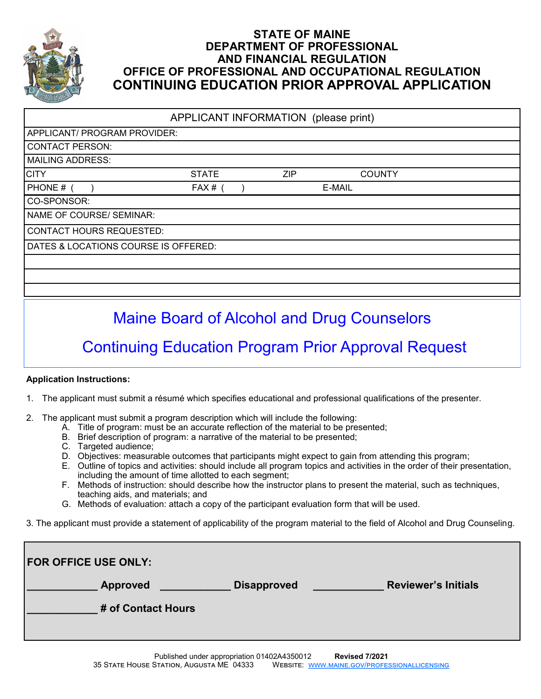

# **STATE OF MAINE DEPARTMENT OF PROFESSIONAL AND FINANCIAL REGULATION OFFICE OF PROFESSIONAL AND OCCUPATIONAL REGULATION CONTINUING EDUCATION PRIOR APPROVAL APPLICATION**

APPLICANT INFORMATION (please print)

| APPLICANT/ PROGRAM PROVIDER:         |              |     |               |  |
|--------------------------------------|--------------|-----|---------------|--|
| <b>CONTACT PERSON:</b>               |              |     |               |  |
| <b>MAILING ADDRESS:</b>              |              |     |               |  |
| <b>CITY</b>                          | <b>STATE</b> | ZIP | <b>COUNTY</b> |  |
| PHONE #                              | FAX#         |     | E-MAIL        |  |
| CO-SPONSOR:                          |              |     |               |  |
| NAME OF COURSE/ SEMINAR:             |              |     |               |  |
| <b>CONTACT HOURS REQUESTED:</b>      |              |     |               |  |
| DATES & LOCATIONS COURSE IS OFFERED: |              |     |               |  |
|                                      |              |     |               |  |
|                                      |              |     |               |  |
|                                      |              |     |               |  |

Maine Board of Alcohol and Drug Counselors

# Continuing Education Program Prior Approval Request

# **Application Instructions:**

- 1. The applicant must submit a résumé which specifies educational and professional qualifications of the presenter.
- 2. The applicant must submit a program description which will include the following:
	- A. Title of program: must be an accurate reflection of the material to be presented;
	- B. Brief description of program: a narrative of the material to be presented;
	- C. Targeted audience;
	- D. Objectives: measurable outcomes that participants might expect to gain from attending this program;
	- E. Outline of topics and activities: should include all program topics and activities in the order of their presentation, including the amount of time allotted to each segment;
	- F. Methods of instruction: should describe how the instructor plans to present the material, such as techniques, teaching aids, and materials; and
	- G. Methods of evaluation: attach a copy of the participant evaluation form that will be used.
- 3. The applicant must provide a statement of applicability of the program material to the field of Alcohol and Drug Counseling.

| <b>FOR OFFICE USE ONLY:</b> |                                                  |  |  |
|-----------------------------|--------------------------------------------------|--|--|
| <b>Approved</b>             | <b>Reviewer's Initials</b><br><b>Disapproved</b> |  |  |
| # of Contact Hours          |                                                  |  |  |
|                             |                                                  |  |  |